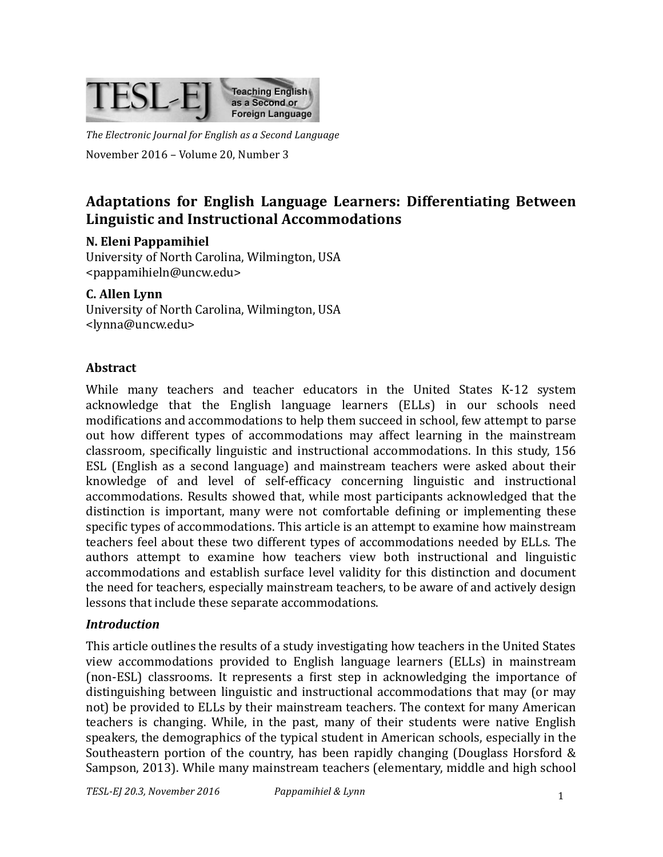

The Electronic Journal for English as a Second Language November 2016 - Volume 20, Number 3

# Adaptations for English Language Learners: Differentiating Between **Linguistic and Instructional Accommodations**

#### **N. Eleni Pappamihiel**

University of North Carolina, Wilmington, USA <pappamihieln@uncw.edu>

#### **C. Allen Lynn**

University of North Carolina, Wilmington, USA <lynna@uncw.edu>

#### **Abstract**

While many teachers and teacher educators in the United States K-12 system acknowledge that the English language learners (ELLs) in our schools need modifications and accommodations to help them succeed in school, few attempt to parse out how different types of accommodations may affect learning in the mainstream classroom, specifically linguistic and instructional accommodations. In this study, 156 ESL (English as a second language) and mainstream teachers were asked about their knowledge of and level of self-efficacy concerning linguistic and instructional accommodations. Results showed that, while most participants acknowledged that the distinction is important, many were not comfortable defining or implementing these specific types of accommodations. This article is an attempt to examine how mainstream teachers feel about these two different types of accommodations needed by ELLs. The authors attempt to examine how teachers view both instructional and linguistic accommodations and establish surface level validity for this distinction and document the need for teachers, especially mainstream teachers, to be aware of and actively design lessons that include these separate accommodations.

#### *Introduction*

This article outlines the results of a study investigating how teachers in the United States view accommodations provided to English language learners (ELLs) in mainstream (non-ESL) classrooms. It represents a first step in acknowledging the importance of distinguishing between linguistic and instructional accommodations that may (or may not) be provided to ELLs by their mainstream teachers. The context for many American teachers is changing. While, in the past, many of their students were native English speakers, the demographics of the typical student in American schools, especially in the Southeastern portion of the country, has been rapidly changing (Douglass Horsford  $\&$ Sampson, 2013). While many mainstream teachers (elementary, middle and high school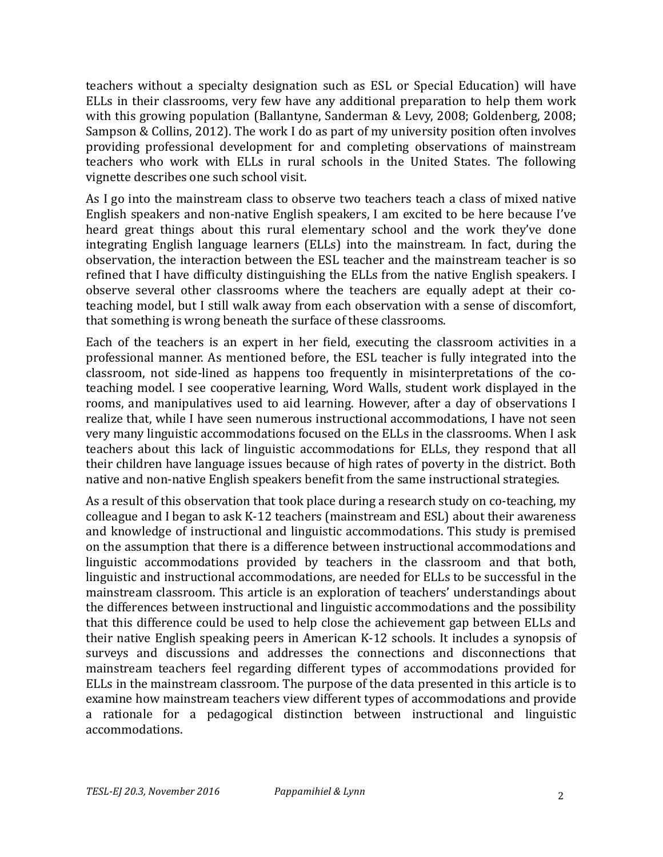teachers without a specialty designation such as ESL or Special Education) will have ELLs in their classrooms, very few have any additional preparation to help them work with this growing population (Ballantyne, Sanderman & Levy, 2008; Goldenberg, 2008; Sampson & Collins, 2012). The work I do as part of my university position often involves providing professional development for and completing observations of mainstream teachers who work with ELLs in rural schools in the United States. The following vignette describes one such school visit.

As I go into the mainstream class to observe two teachers teach a class of mixed native English speakers and non-native English speakers, I am excited to be here because I've heard great things about this rural elementary school and the work they've done integrating English language learners (ELLs) into the mainstream. In fact, during the observation, the interaction between the ESL teacher and the mainstream teacher is so refined that I have difficulty distinguishing the ELLs from the native English speakers. I observe several other classrooms where the teachers are equally adept at their coteaching model, but I still walk away from each observation with a sense of discomfort, that something is wrong beneath the surface of these classrooms.

Each of the teachers is an expert in her field, executing the classroom activities in a professional manner. As mentioned before, the ESL teacher is fully integrated into the classroom, not side-lined as happens too frequently in misinterpretations of the coteaching model. I see cooperative learning, Word Walls, student work displayed in the rooms, and manipulatives used to aid learning. However, after a day of observations I realize that, while I have seen numerous instructional accommodations. I have not seen very many linguistic accommodations focused on the ELLs in the classrooms. When I ask teachers about this lack of linguistic accommodations for ELLs, they respond that all their children have language issues because of high rates of poverty in the district. Both native and non-native English speakers benefit from the same instructional strategies.

As a result of this observation that took place during a research study on co-teaching, my colleague and I began to ask  $K-12$  teachers (mainstream and  $ESL$ ) about their awareness and knowledge of instructional and linguistic accommodations. This study is premised on the assumption that there is a difference between instructional accommodations and linguistic accommodations provided by teachers in the classroom and that both, linguistic and instructional accommodations, are needed for ELLs to be successful in the mainstream classroom. This article is an exploration of teachers' understandings about the differences between instructional and linguistic accommodations and the possibility that this difference could be used to help close the achievement gap between ELLs and their native English speaking peers in American K-12 schools. It includes a synopsis of surveys and discussions and addresses the connections and disconnections that mainstream teachers feel regarding different types of accommodations provided for ELLs in the mainstream classroom. The purpose of the data presented in this article is to examine how mainstream teachers view different types of accommodations and provide a rationale for a pedagogical distinction between instructional and linguistic accommodations.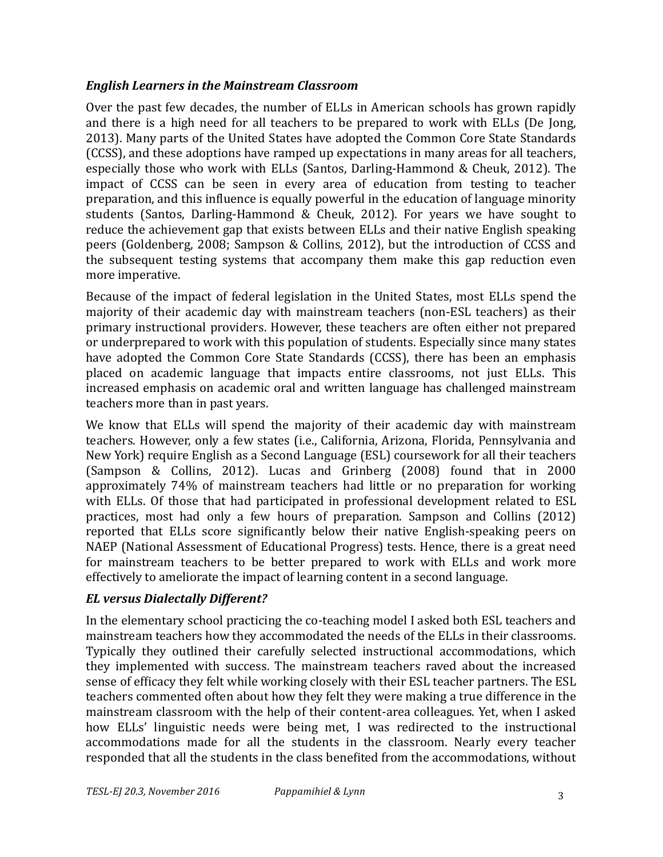#### *English Learners in the Mainstream Classroom*

Over the past few decades, the number of ELLs in American schools has grown rapidly and there is a high need for all teachers to be prepared to work with ELLs (De Jong, 2013). Many parts of the United States have adopted the Common Core State Standards (CCSS), and these adoptions have ramped up expectations in many areas for all teachers, especially those who work with ELLs (Santos, Darling-Hammond & Cheuk, 2012). The impact of CCSS can be seen in every area of education from testing to teacher preparation, and this influence is equally powerful in the education of language minority students (Santos, Darling-Hammond & Cheuk, 2012). For years we have sought to reduce the achievement gap that exists between ELLs and their native English speaking peers (Goldenberg, 2008; Sampson & Collins, 2012), but the introduction of CCSS and the subsequent testing systems that accompany them make this gap reduction even more imperative.

Because of the impact of federal legislation in the United States, most ELLs spend the majority of their academic day with mainstream teachers (non-ESL teachers) as their primary instructional providers. However, these teachers are often either not prepared or underprepared to work with this population of students. Especially since many states have adopted the Common Core State Standards (CCSS), there has been an emphasis placed on academic language that impacts entire classrooms, not just ELLs. This increased emphasis on academic oral and written language has challenged mainstream teachers more than in past years.

We know that ELLs will spend the majority of their academic day with mainstream teachers. However, only a few states (i.e., California, Arizona, Florida, Pennsylvania and New York) require English as a Second Language (ESL) coursework for all their teachers  $(Sampson \&$  Collins, 2012). Lucas and Grinberg  $(2008)$  found that in 2000 approximately 74% of mainstream teachers had little or no preparation for working with ELLs. Of those that had participated in professional development related to ESL practices, most had only a few hours of preparation. Sampson and Collins (2012) reported that ELLs score significantly below their native English-speaking peers on NAEP (National Assessment of Educational Progress) tests. Hence, there is a great need for mainstream teachers to be better prepared to work with ELLs and work more effectively to ameliorate the impact of learning content in a second language.

#### *EL versus Dialectally Different?*

In the elementary school practicing the co-teaching model I asked both ESL teachers and mainstream teachers how they accommodated the needs of the ELLs in their classrooms. Typically they outlined their carefully selected instructional accommodations, which they implemented with success. The mainstream teachers raved about the increased sense of efficacy they felt while working closely with their ESL teacher partners. The ESL teachers commented often about how they felt they were making a true difference in the mainstream classroom with the help of their content-area colleagues. Yet, when I asked how ELLs' linguistic needs were being met. I was redirected to the instructional accommodations made for all the students in the classroom. Nearly every teacher responded that all the students in the class benefited from the accommodations, without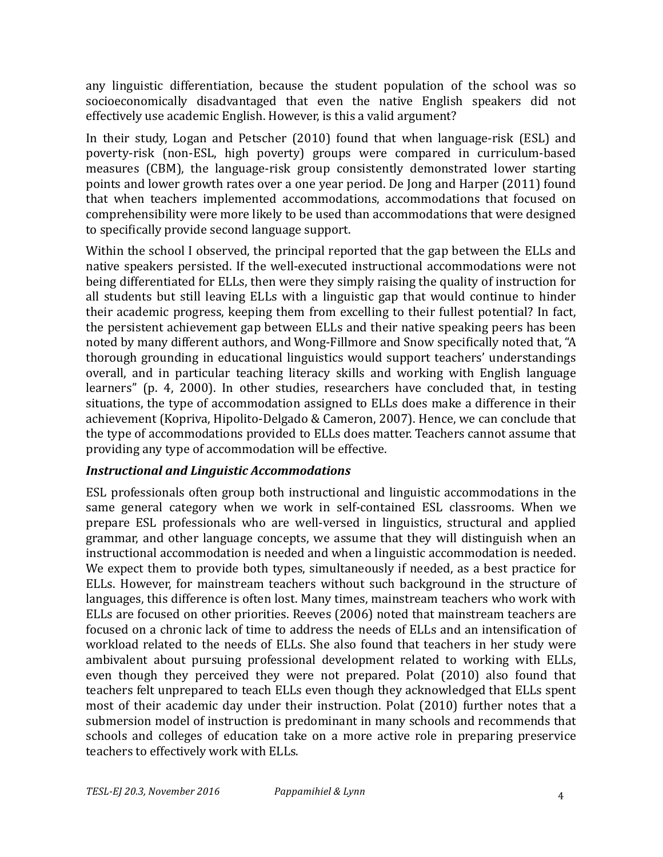any linguistic differentiation, because the student population of the school was so socioeconomically disadvantaged that even the native English speakers did not effectively use academic English. However, is this a valid argument?

In their study, Logan and Petscher (2010) found that when language-risk (ESL) and poverty-risk (non-ESL, high poverty) groups were compared in curriculum-based measures (CBM), the language-risk group consistently demonstrated lower starting points and lower growth rates over a one year period. De Jong and Harper (2011) found that when teachers implemented accommodations, accommodations that focused on comprehensibility were more likely to be used than accommodations that were designed to specifically provide second language support.

Within the school I observed, the principal reported that the gap between the ELLs and native speakers persisted. If the well-executed instructional accommodations were not being differentiated for ELLs, then were they simply raising the quality of instruction for all students but still leaving ELLs with a linguistic gap that would continue to hinder their academic progress, keeping them from excelling to their fullest potential? In fact, the persistent achievement gap between ELLs and their native speaking peers has been noted by many different authors, and Wong-Fillmore and Snow specifically noted that, "A thorough grounding in educational linguistics would support teachers' understandings overall, and in particular teaching literacy skills and working with English language learners" (p. 4, 2000). In other studies, researchers have concluded that, in testing situations, the type of accommodation assigned to ELLs does make a difference in their achievement (Kopriva, Hipolito-Delgado & Cameron, 2007). Hence, we can conclude that the type of accommodations provided to ELLs does matter. Teachers cannot assume that providing any type of accommodation will be effective.

### *Instructional and Linguistic Accommodations*

ESL professionals often group both instructional and linguistic accommodations in the same general category when we work in self-contained ESL classrooms. When we prepare ESL professionals who are well-versed in linguistics, structural and applied grammar, and other language concepts, we assume that they will distinguish when an instructional accommodation is needed and when a linguistic accommodation is needed. We expect them to provide both types, simultaneously if needed, as a best practice for ELLs. However, for mainstream teachers without such background in the structure of languages, this difference is often lost. Many times, mainstream teachers who work with ELLs are focused on other priorities. Reeves (2006) noted that mainstream teachers are focused on a chronic lack of time to address the needs of ELLs and an intensification of workload related to the needs of ELLs. She also found that teachers in her study were ambivalent about pursuing professional development related to working with ELLs, even though they perceived they were not prepared. Polat (2010) also found that teachers felt unprepared to teach ELLs even though they acknowledged that ELLs spent most of their academic day under their instruction. Polat (2010) further notes that a submersion model of instruction is predominant in many schools and recommends that schools and colleges of education take on a more active role in preparing preservice teachers to effectively work with ELLs.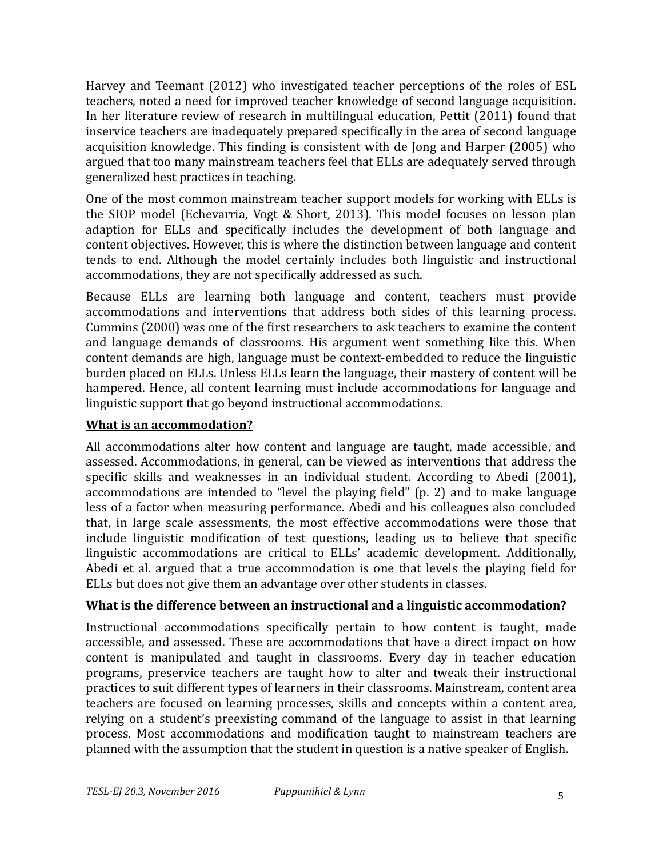Harvey and Teemant (2012) who investigated teacher perceptions of the roles of ESL teachers, noted a need for improved teacher knowledge of second language acquisition. In her literature review of research in multilingual education, Pettit (2011) found that inservice teachers are inadequately prepared specifically in the area of second language acquisition knowledge. This finding is consistent with de Jong and Harper (2005) who argued that too many mainstream teachers feel that ELLs are adequately served through generalized best practices in teaching.

One of the most common mainstream teacher support models for working with ELLs is the SIOP model (Echevarria, Vogt & Short, 2013). This model focuses on lesson plan adaption for ELLs and specifically includes the development of both language and content objectives. However, this is where the distinction between language and content tends to end. Although the model certainly includes both linguistic and instructional accommodations, they are not specifically addressed as such.

Because ELLs are learning both language and content, teachers must provide accommodations and interventions that address both sides of this learning process. Cummins (2000) was one of the first researchers to ask teachers to examine the content and language demands of classrooms. His argument went something like this. When content demands are high, language must be context-embedded to reduce the linguistic burden placed on ELLs. Unless ELLs learn the language, their mastery of content will be hampered. Hence, all content learning must include accommodations for language and linguistic support that go beyond instructional accommodations.

### **What is an accommodation?**

All accommodations alter how content and language are taught, made accessible, and assessed. Accommodations, in general, can be viewed as interventions that address the specific skills and weaknesses in an individual student. According to Abedi (2001), accommodations are intended to "level the playing field" (p. 2) and to make language less of a factor when measuring performance. Abedi and his colleagues also concluded that, in large scale assessments, the most effective accommodations were those that include linguistic modification of test questions, leading us to believe that specific linguistic accommodations are critical to ELLs' academic development. Additionally, Abedi et al. argued that a true accommodation is one that levels the playing field for ELLs but does not give them an advantage over other students in classes.

### **What is the difference between an instructional and a linguistic accommodation?**

Instructional accommodations specifically pertain to how content is taught, made accessible, and assessed. These are accommodations that have a direct impact on how content is manipulated and taught in classrooms. Every day in teacher education programs, preservice teachers are taught how to alter and tweak their instructional practices to suit different types of learners in their classrooms. Mainstream, content area teachers are focused on learning processes, skills and concepts within a content area, relying on a student's preexisting command of the language to assist in that learning process. Most accommodations and modification taught to mainstream teachers are planned with the assumption that the student in question is a native speaker of English.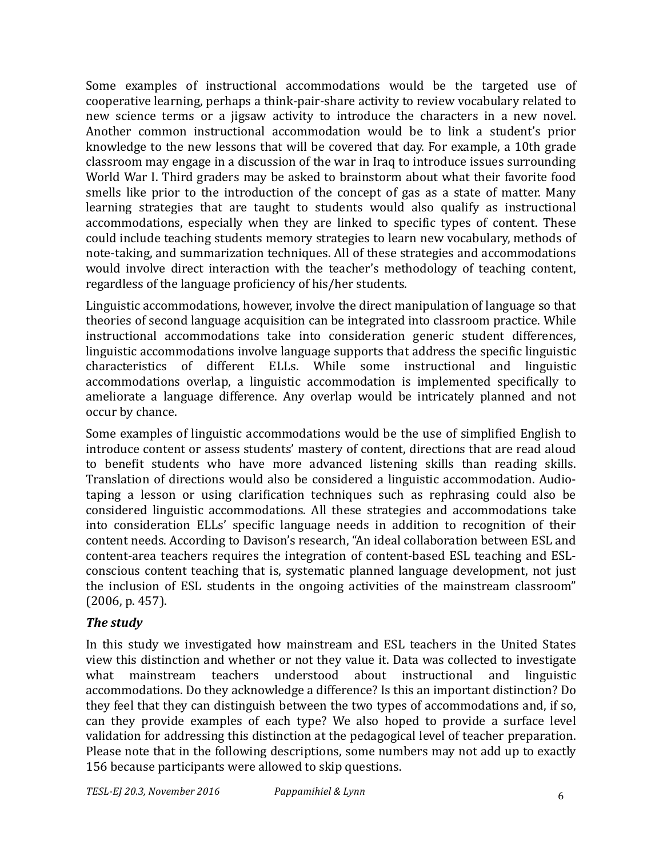Some examples of instructional accommodations would be the targeted use of cooperative learning, perhaps a think-pair-share activity to review vocabulary related to new science terms or a jigsaw activity to introduce the characters in a new novel. Another common instructional accommodation would be to link a student's prior knowledge to the new lessons that will be covered that day. For example, a 10th grade classroom may engage in a discussion of the war in Iraq to introduce issues surrounding World War I. Third graders may be asked to brainstorm about what their favorite food smells like prior to the introduction of the concept of gas as a state of matter. Many learning strategies that are taught to students would also qualify as instructional accommodations, especially when they are linked to specific types of content. These could include teaching students memory strategies to learn new vocabulary, methods of note-taking, and summarization techniques. All of these strategies and accommodations would involve direct interaction with the teacher's methodology of teaching content, regardless of the language proficiency of his/her students.

Linguistic accommodations, however, involve the direct manipulation of language so that theories of second language acquisition can be integrated into classroom practice. While instructional accommodations take into consideration generic student differences, linguistic accommodations involve language supports that address the specific linguistic characteristics of different ELLs. While some instructional and linguistic accommodations overlap, a linguistic accommodation is implemented specifically to ameliorate a language difference. Any overlap would be intricately planned and not occur by chance.

Some examples of linguistic accommodations would be the use of simplified English to introduce content or assess students' mastery of content, directions that are read aloud to benefit students who have more advanced listening skills than reading skills. Translation of directions would also be considered a linguistic accommodation. Audiotaping a lesson or using clarification techniques such as rephrasing could also be considered linguistic accommodations. All these strategies and accommodations take into consideration ELLs' specific language needs in addition to recognition of their content needs. According to Davison's research, "An ideal collaboration between ESL and content-area teachers requires the integration of content-based ESL teaching and ESLconscious content teaching that is, systematic planned language development, not just the inclusion of ESL students in the ongoing activities of the mainstream classroom"  $(2006, p. 457)$ .

### *The study*

In this study we investigated how mainstream and ESL teachers in the United States view this distinction and whether or not they value it. Data was collected to investigate what mainstream teachers understood about instructional and linguistic accommodations. Do they acknowledge a difference? Is this an important distinction? Do they feel that they can distinguish between the two types of accommodations and, if so, can they provide examples of each type? We also hoped to provide a surface level validation for addressing this distinction at the pedagogical level of teacher preparation. Please note that in the following descriptions, some numbers may not add up to exactly 156 because participants were allowed to skip questions.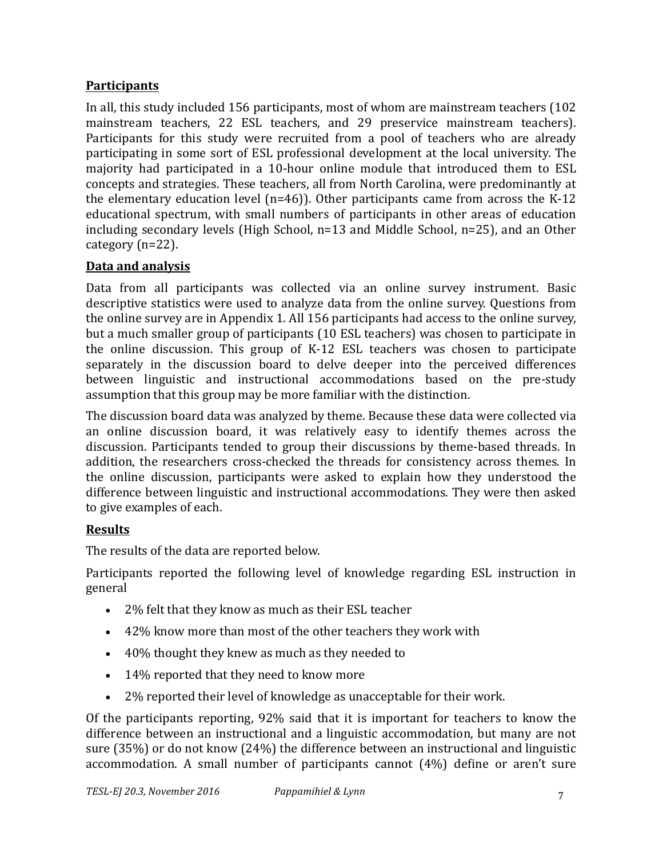## **Participants**

In all, this study included 156 participants, most of whom are mainstream teachers (102) mainstream teachers, 22 ESL teachers, and 29 preservice mainstream teachers). Participants for this study were recruited from a pool of teachers who are already participating in some sort of ESL professional development at the local university. The majority had participated in a 10-hour online module that introduced them to ESL concepts and strategies. These teachers, all from North Carolina, were predominantly at the elementary education level  $(n=46)$ ). Other participants came from across the K-12 educational spectrum, with small numbers of participants in other areas of education including secondary levels (High School,  $n=13$  and Middle School,  $n=25$ ), and an Other category  $(n=22)$ .

## **Data and analysis**

Data from all participants was collected via an online survey instrument. Basic descriptive statistics were used to analyze data from the online survey. Questions from the online survey are in Appendix 1. All 156 participants had access to the online survey, but a much smaller group of participants (10 ESL teachers) was chosen to participate in the online discussion. This group of K-12 ESL teachers was chosen to participate separately in the discussion board to delve deeper into the perceived differences between linguistic and instructional accommodations based on the pre-study assumption that this group may be more familiar with the distinction.

The discussion board data was analyzed by theme. Because these data were collected via an online discussion board, it was relatively easy to identify themes across the discussion. Participants tended to group their discussions by theme-based threads. In addition, the researchers cross-checked the threads for consistency across themes. In the online discussion, participants were asked to explain how they understood the difference between linguistic and instructional accommodations. They were then asked to give examples of each.

## **Results**

The results of the data are reported below.

Participants reported the following level of knowledge regarding ESL instruction in general

- 2% felt that they know as much as their ESL teacher
- 42% know more than most of the other teachers they work with
- 40% thought they knew as much as they needed to
- 14% reported that they need to know more
- 2% reported their level of knowledge as unacceptable for their work.

Of the participants reporting, 92% said that it is important for teachers to know the difference between an instructional and a linguistic accommodation, but many are not sure  $(35%)$  or do not know  $(24%)$  the difference between an instructional and linguistic accommodation. A small number of participants cannot  $(4%)$  define or aren't sure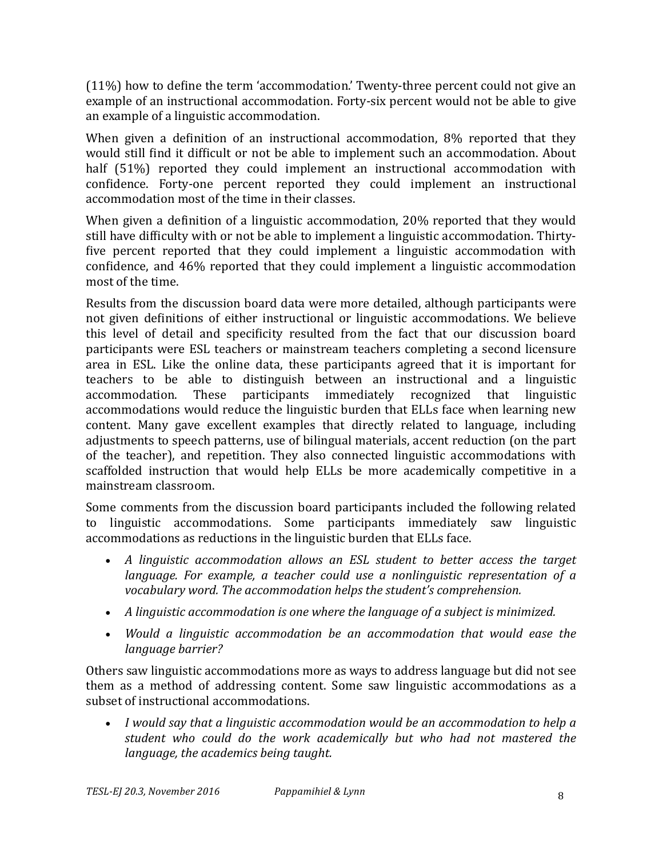(11%) how to define the term 'accommodation.' Twenty-three percent could not give an example of an instructional accommodation. Forty-six percent would not be able to give an example of a linguistic accommodation.

When given a definition of an instructional accommodation,  $8\%$  reported that they would still find it difficult or not be able to implement such an accommodation. About half (51%) reported they could implement an instructional accommodation with confidence. Forty-one percent reported they could implement an instructional accommodation most of the time in their classes.

When given a definition of a linguistic accommodation,  $20\%$  reported that they would still have difficulty with or not be able to implement a linguistic accommodation. Thirtyfive percent reported that they could implement a linguistic accommodation with confidence, and 46% reported that they could implement a linguistic accommodation most of the time.

Results from the discussion board data were more detailed, although participants were not given definitions of either instructional or linguistic accommodations. We believe this level of detail and specificity resulted from the fact that our discussion board participants were ESL teachers or mainstream teachers completing a second licensure area in ESL. Like the online data, these participants agreed that it is important for teachers to be able to distinguish between an instructional and a linguistic accommodation. These participants immediately recognized that linguistic accommodations would reduce the linguistic burden that ELLs face when learning new content. Many gave excellent examples that directly related to language, including adjustments to speech patterns, use of bilingual materials, accent reduction (on the part of the teacher), and repetition. They also connected linguistic accommodations with scaffolded instruction that would help ELLs be more academically competitive in a mainstream classroom.

Some comments from the discussion board participants included the following related to linguistic accommodations. Some participants immediately saw linguistic accommodations as reductions in the linguistic burden that ELLs face.

- A linguistic accommodation allows an ESL student to better access the target *language.* For example, a teacher could use a nonlinguistic representation of a vocabulary word. The accommodation helps the student's comprehension.
- A linguistic accommodation is one where the language of a subject is minimized.
- *Would a linguistic accommodation be an accommodation that would ease the language barrier?*

Others saw linguistic accommodations more as ways to address language but did not see them as a method of addressing content. Some saw linguistic accommodations as a subset of instructional accommodations.

• *I* would say that a linguistic accommodation would be an accommodation to help a student who could do the work academically but who had not mastered the *language, the academics being taught.*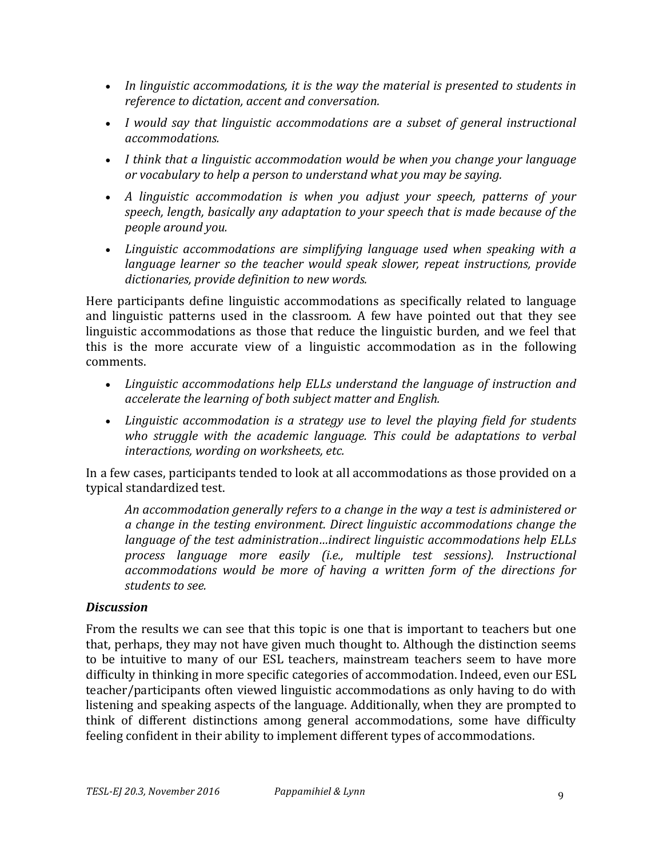- In linguistic accommodations, it is the way the material is presented to students in *reference to dictation, accent and conversation.*
- *I* would say that linguistic accommodations are a subset of general instructional *accommodations.*
- I think that a linguistic accommodation would be when you change your language *or* vocabulary to help a person to understand what you may be saying.
- A linguistic accommodation is when you adjust your speech, patterns of your speech, length, basically any adaptation to your speech that is made because of the *people around you.*
- Linguistic accommodations are simplifying language used when speaking with a *language learner so the teacher would speak slower, repeat instructions, provide* dictionaries, provide definition to new words.

Here participants define linguistic accommodations as specifically related to language and linguistic patterns used in the classroom. A few have pointed out that they see linguistic accommodations as those that reduce the linguistic burden, and we feel that this is the more accurate view of a linguistic accommodation as in the following comments.

- Linguistic accommodations help ELLs understand the language of instruction and *accelerate the learning of both subject matter and English.*
- Linguistic accommodation is a strategy use to level the playing field for students *who* struggle with the academic language. This could be adaptations to verbal interactions, wording on worksheets, etc.

In a few cases, participants tended to look at all accommodations as those provided on a typical standardized test.

An accommodation generally refers to a change in the way a test is administered or *a* change in the testing environment. Direct linguistic accommodations change the *language of the test administration...indirect linguistic accommodations help ELLs process language more easily (i.e., multiple test sessions). Instructional accommodations* would be more of having a written form of the directions for students to see.

#### *Discussion*

From the results we can see that this topic is one that is important to teachers but one that, perhaps, they may not have given much thought to. Although the distinction seems to be intuitive to many of our ESL teachers, mainstream teachers seem to have more difficulty in thinking in more specific categories of accommodation. Indeed, even our ESL teacher/participants often viewed linguistic accommodations as only having to do with listening and speaking aspects of the language. Additionally, when they are prompted to think of different distinctions among general accommodations, some have difficulty feeling confident in their ability to implement different types of accommodations.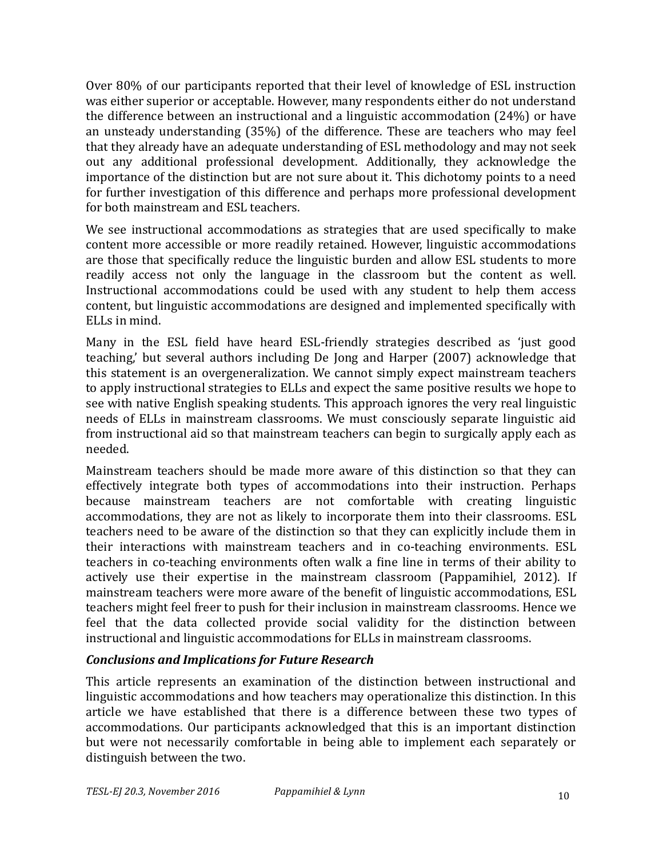Over 80% of our participants reported that their level of knowledge of ESL instruction was either superior or acceptable. However, many respondents either do not understand the difference between an instructional and a linguistic accommodation  $(24%)$  or have an unsteady understanding (35%) of the difference. These are teachers who mav feel that they already have an adequate understanding of ESL methodology and may not seek out any additional professional development. Additionally, they acknowledge the importance of the distinction but are not sure about it. This dichotomy points to a need for further investigation of this difference and perhaps more professional development for both mainstream and ESL teachers.

We see instructional accommodations as strategies that are used specifically to make content more accessible or more readily retained. However, linguistic accommodations are those that specifically reduce the linguistic burden and allow ESL students to more readily access not only the language in the classroom but the content as well. Instructional accommodations could be used with any student to help them access content, but linguistic accommodations are designed and implemented specifically with ELLs in mind.

Many in the ESL field have heard ESL-friendly strategies described as 'just good teaching,' but several authors including De Jong and Harper (2007) acknowledge that this statement is an overgeneralization. We cannot simply expect mainstream teachers to apply instructional strategies to ELLs and expect the same positive results we hope to see with native English speaking students. This approach ignores the very real linguistic needs of ELLs in mainstream classrooms. We must consciously separate linguistic aid from instructional aid so that mainstream teachers can begin to surgically apply each as needed.

Mainstream teachers should be made more aware of this distinction so that they can effectively integrate both types of accommodations into their instruction. Perhaps because mainstream teachers are not comfortable with creating linguistic accommodations, they are not as likely to incorporate them into their classrooms. ESL teachers need to be aware of the distinction so that they can explicitly include them in their interactions with mainstream teachers and in co-teaching environments. ESL teachers in co-teaching environments often walk a fine line in terms of their ability to actively use their expertise in the mainstream classroom (Pappamihiel, 2012). If mainstream teachers were more aware of the benefit of linguistic accommodations, ESL teachers might feel freer to push for their inclusion in mainstream classrooms. Hence we feel that the data collected provide social validity for the distinction between instructional and linguistic accommodations for ELLs in mainstream classrooms.

#### *Conclusions and Implications for Future Research*

This article represents an examination of the distinction between instructional and linguistic accommodations and how teachers may operationalize this distinction. In this article we have established that there is a difference between these two types of accommodations. Our participants acknowledged that this is an important distinction but were not necessarily comfortable in being able to implement each separately or distinguish between the two.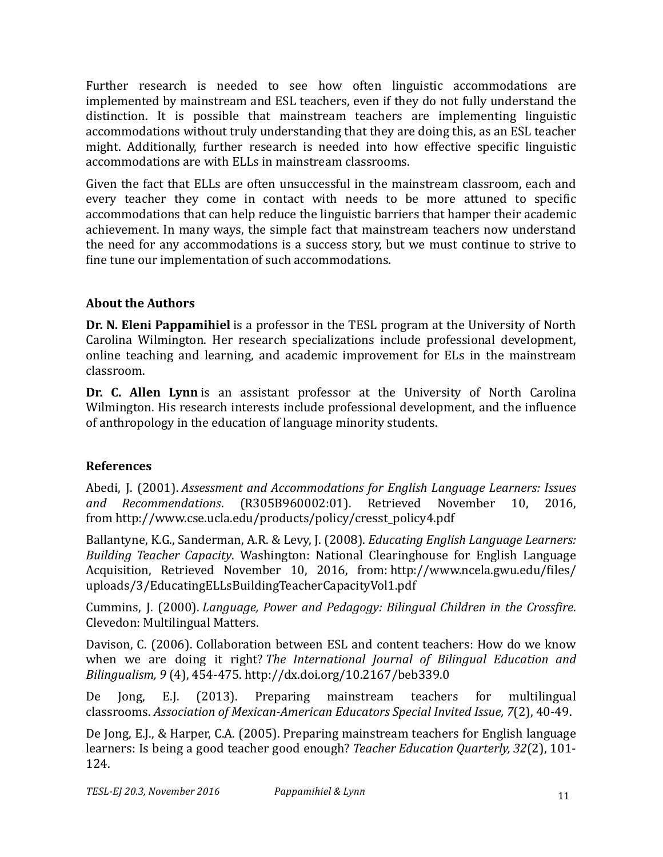Further research is needed to see how often linguistic accommodations are implemented by mainstream and ESL teachers, even if they do not fully understand the distinction. It is possible that mainstream teachers are implementing linguistic accommodations without truly understanding that they are doing this, as an ESL teacher might. Additionally, further research is needed into how effective specific linguistic accommodations are with ELLs in mainstream classrooms.

Given the fact that ELLs are often unsuccessful in the mainstream classroom, each and every teacher they come in contact with needs to be more attuned to specific accommodations that can help reduce the linguistic barriers that hamper their academic achievement. In many ways, the simple fact that mainstream teachers now understand the need for any accommodations is a success story, but we must continue to strive to fine tune our implementation of such accommodations.

## **About the Authors**

**Dr. N. Eleni Pappamihiel** is a professor in the TESL program at the University of North Carolina Wilmington. Her research specializations include professional development, online teaching and learning, and academic improvement for ELs in the mainstream classroom.

**Dr. C. Allen Lynn** is an assistant professor at the University of North Carolina Wilmington. His research interests include professional development, and the influence of anthropology in the education of language minority students.

## **References**

Abedi, J. (2001). *Assessment and Accommodations for English Language Learners: Issues and Recommendations*. (R305B960002:01). Retrieved November 10, 2016, from http://www.cse.ucla.edu/products/policy/cresst\_policy4.pdf

Ballantyne, K.G., Sanderman, A.R. & Levy, J. (2008). *Educating English Language Learners: Building Teacher Capacity*. Washington: National Clearinghouse for English Language Acquisition, Retrieved November 10, 2016, from: http://www.ncela.gwu.edu/files/ uploads/3/EducatingELLsBuildingTeacherCapacityVol1.pdf

Cummins, J. (2000). *Language, Power and Pedagogy: Bilingual Children in the Crossfire.* Clevedon: Multilingual Matters.

Davison, C. (2006). Collaboration between ESL and content teachers: How do we know when we are doing it right? *The International Journal of Bilingual Education and Bilingualism, 9* (4), 454-475. http://dx.doi.org/10.2167/beb339.0

De Jong, E.J. (2013). Preparing mainstream teachers for multilingual classrooms. *Association of Mexican-American Educators Special Invited Issue, 7(2), 40-49.* 

De Jong, E.J., & Harper, C.A. (2005). Preparing mainstream teachers for English language learners: Is being a good teacher good enough? *Teacher Education Quarterly, 32(2), 101-*124.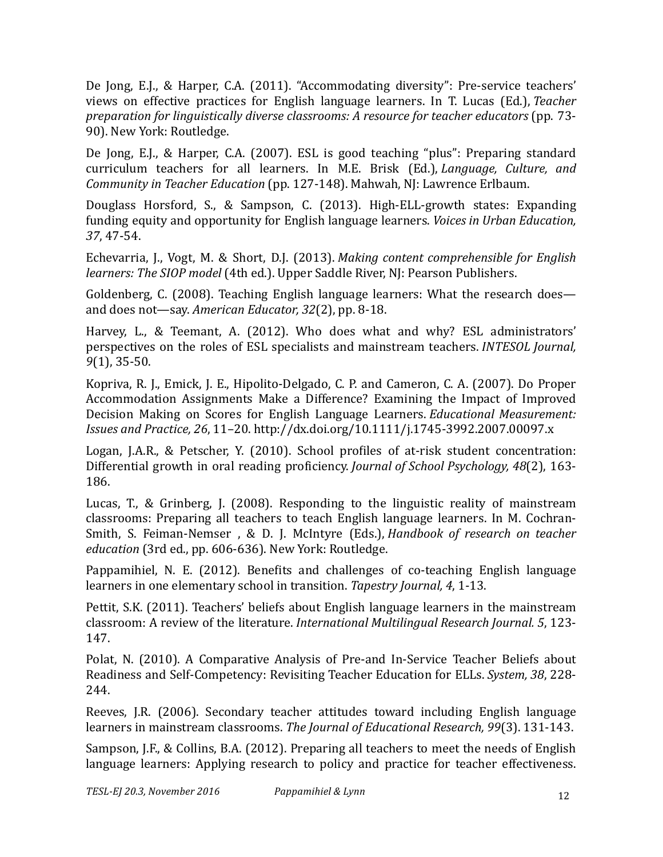De Jong, E.J., & Harper, C.A. (2011). "Accommodating diversity": Pre-service teachers' views on effective practices for English language learners. In T. Lucas (Ed.), *Teacher preparation for linguistically diverse classrooms: A resource for teacher educators* (pp. 73- 90). New York: Routledge.

De Jong, E.J., & Harper, C.A. (2007). ESL is good teaching "plus": Preparing standard curriculum teachers for all learners. In M.E. Brisk (Ed.), *Language, Culture, and Community in Teacher Education* (pp. 127-148). Mahwah, NJ: Lawrence Erlbaum.

Douglass Horsford, S., & Sampson, C. (2013). High-ELL-growth states: Expanding funding equity and opportunity for English language learners. *Voices in Urban Education*, *37*, 47-54.

Echevarria, J., Vogt, M. & Short, D.J. (2013). *Making content comprehensible for English learners: The SIOP model* (4th ed.). Upper Saddle River, NJ: Pearson Publishers.

Goldenberg, C. (2008). Teaching English language learners: What the research does and does not—say. *American Educator*, 32(2), pp. 8-18.

Harvey, L., & Teemant, A. (2012). Who does what and why? ESL administrators' perspectives on the roles of ESL specialists and mainstream teachers. *INTESOL Journal*, *9*(1), 35-50.

Kopriva, R. J., Emick, J. E., Hipolito-Delgado, C. P. and Cameron, C. A. (2007). Do Proper Accommodation Assignments Make a Difference? Examining the Impact of Improved Decision Making on Scores for English Language Learners. *Educational Measurement: Issues and Practice, 26*, 11–20. http://dx.doi.org/10.1111/j.1745-3992.2007.00097.x

Logan, J.A.R., & Petscher, Y. (2010). School profiles of at-risk student concentration: Differential growth in oral reading proficiency. *Journal of School Psychology*, 48(2), 163-186.

Lucas, T., & Grinberg, J. (2008). Responding to the linguistic reality of mainstream classrooms: Preparing all teachers to teach English language learners. In M. Cochran-Smith, S. Feiman-Nemser, & D. J. McIntyre (Eds.), *Handbook of research on teacher* education (3rd ed., pp. 606-636). New York: Routledge.

Pappamihiel, N. E.  $(2012)$ . Benefits and challenges of co-teaching English language learners in one elementary school in transition. *Tapestry Journal*, 4, 1-13.

Pettit, S.K. (2011). Teachers' beliefs about English language learners in the mainstream classroom: A review of the literature. *International Multilingual Research Journal.* 5, 123-147.

Polat, N. (2010). A Comparative Analysis of Pre-and In-Service Teacher Beliefs about Readiness and Self-Competency: Revisiting Teacher Education for ELLs. *System, 38, 228-*244.

Reeves, J.R. (2006). Secondary teacher attitudes toward including English language learners in mainstream classrooms. *The Journal of Educational Research*, 99(3). 131-143.

Sampson, J.F., & Collins, B.A. (2012). Preparing all teachers to meet the needs of English language learners: Applying research to policy and practice for teacher effectiveness.